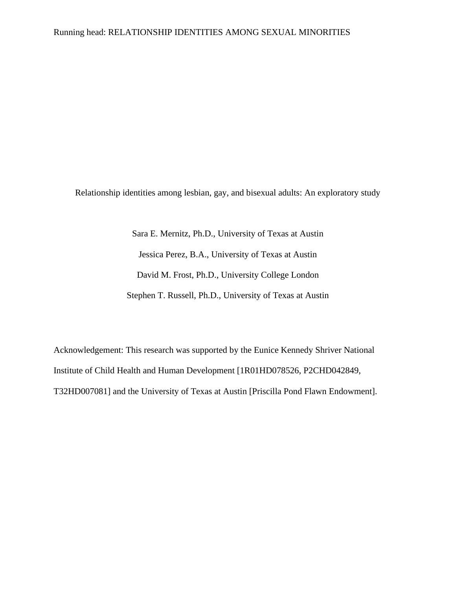Relationship identities among lesbian, gay, and bisexual adults: An exploratory study

Sara E. Mernitz, Ph.D., University of Texas at Austin Jessica Perez, B.A., University of Texas at Austin David M. Frost, Ph.D., University College London Stephen T. Russell, Ph.D., University of Texas at Austin

Acknowledgement: This research was supported by the Eunice Kennedy Shriver National Institute of Child Health and Human Development [1R01HD078526, P2CHD042849, T32HD007081] and the University of Texas at Austin [Priscilla Pond Flawn Endowment].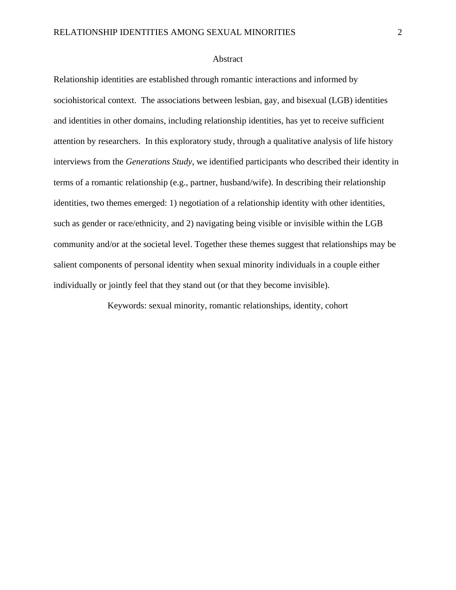# Abstract

Relationship identities are established through romantic interactions and informed by sociohistorical context. The associations between lesbian, gay, and bisexual (LGB) identities and identities in other domains, including relationship identities, has yet to receive sufficient attention by researchers. In this exploratory study, through a qualitative analysis of life history interviews from the *Generations Study*, we identified participants who described their identity in terms of a romantic relationship (e.g., partner, husband/wife). In describing their relationship identities, two themes emerged: 1) negotiation of a relationship identity with other identities, such as gender or race/ethnicity, and 2) navigating being visible or invisible within the LGB community and/or at the societal level. Together these themes suggest that relationships may be salient components of personal identity when sexual minority individuals in a couple either individually or jointly feel that they stand out (or that they become invisible).

Keywords: sexual minority, romantic relationships, identity, cohort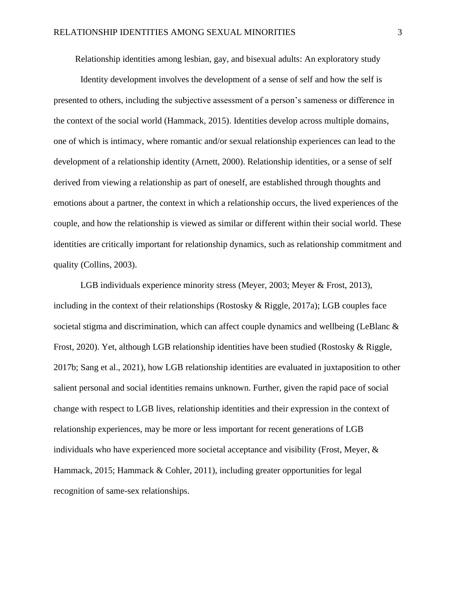Relationship identities among lesbian, gay, and bisexual adults: An exploratory study

Identity development involves the development of a sense of self and how the self is presented to others, including the subjective assessment of a person's sameness or difference in the context of the social world (Hammack, 2015). Identities develop across multiple domains, one of which is intimacy, where romantic and/or sexual relationship experiences can lead to the development of a relationship identity (Arnett, 2000). Relationship identities, or a sense of self derived from viewing a relationship as part of oneself, are established through thoughts and emotions about a partner, the context in which a relationship occurs, the lived experiences of the couple, and how the relationship is viewed as similar or different within their social world. These identities are critically important for relationship dynamics, such as relationship commitment and quality (Collins, 2003).

LGB individuals experience minority stress (Meyer, 2003; Meyer & Frost, 2013), including in the context of their relationships (Rostosky & Riggle, 2017a); LGB couples face societal stigma and discrimination, which can affect couple dynamics and wellbeing (LeBlanc  $\&$ Frost, 2020). Yet, although LGB relationship identities have been studied (Rostosky & Riggle, 2017b; Sang et al., 2021), how LGB relationship identities are evaluated in juxtaposition to other salient personal and social identities remains unknown. Further, given the rapid pace of social change with respect to LGB lives, relationship identities and their expression in the context of relationship experiences, may be more or less important for recent generations of LGB individuals who have experienced more societal acceptance and visibility (Frost, Meyer, & Hammack, 2015; Hammack & Cohler, 2011), including greater opportunities for legal recognition of same-sex relationships.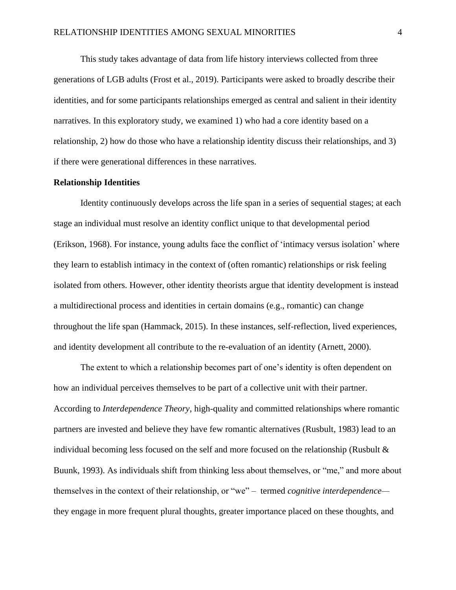This study takes advantage of data from life history interviews collected from three generations of LGB adults (Frost et al., 2019). Participants were asked to broadly describe their identities, and for some participants relationships emerged as central and salient in their identity narratives. In this exploratory study, we examined 1) who had a core identity based on a relationship, 2) how do those who have a relationship identity discuss their relationships, and 3) if there were generational differences in these narratives.

# **Relationship Identities**

Identity continuously develops across the life span in a series of sequential stages; at each stage an individual must resolve an identity conflict unique to that developmental period (Erikson, 1968). For instance, young adults face the conflict of 'intimacy versus isolation' where they learn to establish intimacy in the context of (often romantic) relationships or risk feeling isolated from others. However, other identity theorists argue that identity development is instead a multidirectional process and identities in certain domains (e.g., romantic) can change throughout the life span (Hammack, 2015). In these instances, self-reflection, lived experiences, and identity development all contribute to the re-evaluation of an identity (Arnett, 2000).

The extent to which a relationship becomes part of one's identity is often dependent on how an individual perceives themselves to be part of a collective unit with their partner. According to *Interdependence Theory*, high-quality and committed relationships where romantic partners are invested and believe they have few romantic alternatives (Rusbult, 1983) lead to an individual becoming less focused on the self and more focused on the relationship (Rusbult & Buunk, 1993). As individuals shift from thinking less about themselves, or "me," and more about themselves in the context of their relationship, or "we" – termed *cognitive interdependence* they engage in more frequent plural thoughts, greater importance placed on these thoughts, and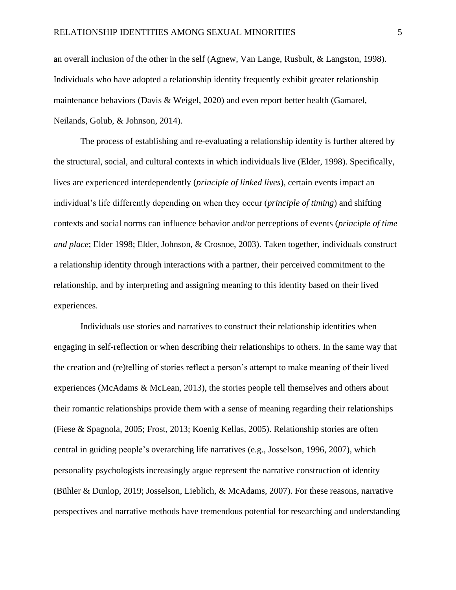an overall inclusion of the other in the self (Agnew, Van Lange, Rusbult, & Langston, 1998). Individuals who have adopted a relationship identity frequently exhibit greater relationship maintenance behaviors (Davis & Weigel, 2020) and even report better health (Gamarel, Neilands, Golub, & Johnson, 2014).

The process of establishing and re-evaluating a relationship identity is further altered by the structural, social, and cultural contexts in which individuals live (Elder, 1998). Specifically, lives are experienced interdependently (*principle of linked lives*), certain events impact an individual's life differently depending on when they occur (*principle of timing*) and shifting contexts and social norms can influence behavior and/or perceptions of events (*principle of time and place*; Elder 1998; Elder, Johnson, & Crosnoe, 2003). Taken together, individuals construct a relationship identity through interactions with a partner, their perceived commitment to the relationship, and by interpreting and assigning meaning to this identity based on their lived experiences.

Individuals use stories and narratives to construct their relationship identities when engaging in self-reflection or when describing their relationships to others. In the same way that the creation and (re)telling of stories reflect a person's attempt to make meaning of their lived experiences (McAdams & McLean, 2013), the stories people tell themselves and others about their romantic relationships provide them with a sense of meaning regarding their relationships (Fiese & Spagnola, 2005; Frost, 2013; Koenig Kellas, 2005). Relationship stories are often central in guiding people's overarching life narratives (e.g., Josselson, 1996, 2007), which personality psychologists increasingly argue represent the narrative construction of identity (Bühler & Dunlop, 2019; Josselson, Lieblich, & McAdams, 2007). For these reasons, narrative perspectives and narrative methods have tremendous potential for researching and understanding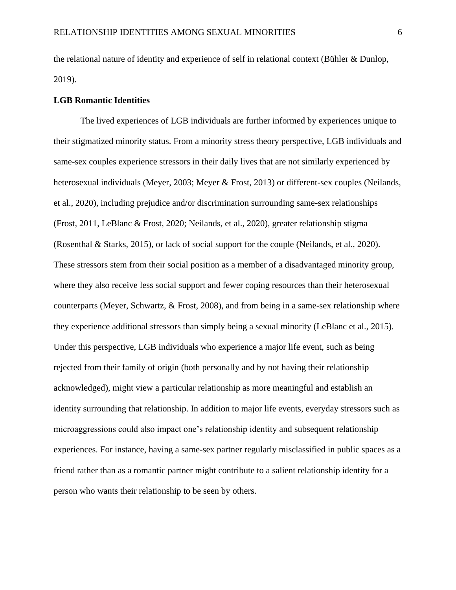the relational nature of identity and experience of self in relational context (Bühler & Dunlop, 2019).

## **LGB Romantic Identities**

The lived experiences of LGB individuals are further informed by experiences unique to their stigmatized minority status. From a minority stress theory perspective, LGB individuals and same-sex couples experience stressors in their daily lives that are not similarly experienced by heterosexual individuals (Meyer, 2003; Meyer & Frost, 2013) or different-sex couples (Neilands, et al., 2020), including prejudice and/or discrimination surrounding same-sex relationships (Frost, 2011, LeBlanc & Frost, 2020; Neilands, et al., 2020), greater relationship stigma (Rosenthal & Starks, 2015), or lack of social support for the couple (Neilands, et al., 2020). These stressors stem from their social position as a member of a disadvantaged minority group, where they also receive less social support and fewer coping resources than their heterosexual counterparts (Meyer, Schwartz, & Frost, 2008), and from being in a same-sex relationship where they experience additional stressors than simply being a sexual minority (LeBlanc et al., 2015). Under this perspective, LGB individuals who experience a major life event, such as being rejected from their family of origin (both personally and by not having their relationship acknowledged), might view a particular relationship as more meaningful and establish an identity surrounding that relationship. In addition to major life events, everyday stressors such as microaggressions could also impact one's relationship identity and subsequent relationship experiences. For instance, having a same-sex partner regularly misclassified in public spaces as a friend rather than as a romantic partner might contribute to a salient relationship identity for a person who wants their relationship to be seen by others.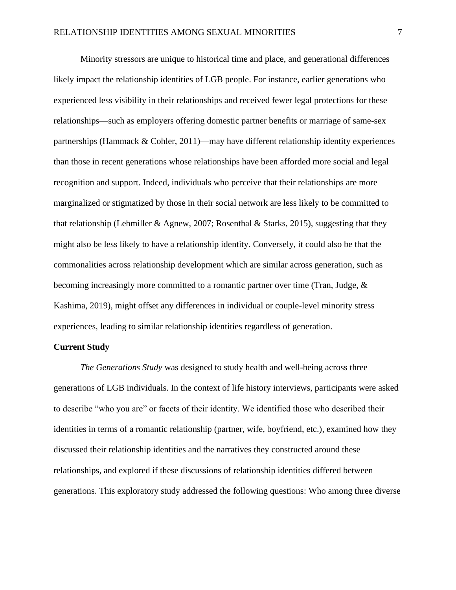Minority stressors are unique to historical time and place, and generational differences likely impact the relationship identities of LGB people. For instance, earlier generations who experienced less visibility in their relationships and received fewer legal protections for these relationships—such as employers offering domestic partner benefits or marriage of same-sex partnerships (Hammack & Cohler, 2011)—may have different relationship identity experiences than those in recent generations whose relationships have been afforded more social and legal recognition and support. Indeed, individuals who perceive that their relationships are more marginalized or stigmatized by those in their social network are less likely to be committed to that relationship (Lehmiller & Agnew, 2007; Rosenthal & Starks, 2015), suggesting that they might also be less likely to have a relationship identity. Conversely, it could also be that the commonalities across relationship development which are similar across generation, such as becoming increasingly more committed to a romantic partner over time (Tran, Judge, & Kashima, 2019), might offset any differences in individual or couple-level minority stress experiences, leading to similar relationship identities regardless of generation.

# **Current Study**

*The Generations Study* was designed to study health and well-being across three generations of LGB individuals. In the context of life history interviews, participants were asked to describe "who you are" or facets of their identity. We identified those who described their identities in terms of a romantic relationship (partner, wife, boyfriend, etc.), examined how they discussed their relationship identities and the narratives they constructed around these relationships, and explored if these discussions of relationship identities differed between generations. This exploratory study addressed the following questions: Who among three diverse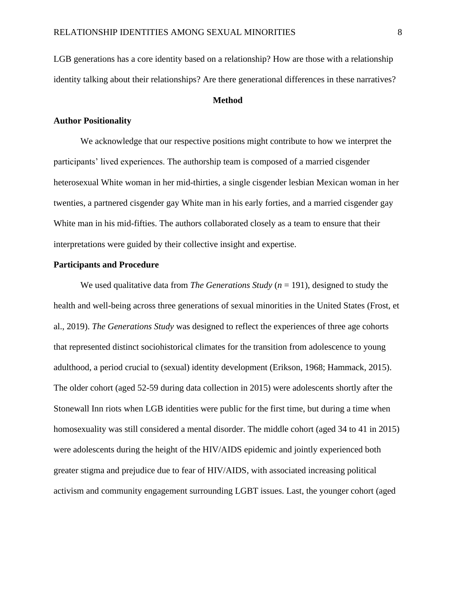LGB generations has a core identity based on a relationship? How are those with a relationship identity talking about their relationships? Are there generational differences in these narratives?

# **Method**

# **Author Positionality**

We acknowledge that our respective positions might contribute to how we interpret the participants' lived experiences. The authorship team is composed of a married cisgender heterosexual White woman in her mid-thirties, a single cisgender lesbian Mexican woman in her twenties, a partnered cisgender gay White man in his early forties, and a married cisgender gay White man in his mid-fifties. The authors collaborated closely as a team to ensure that their interpretations were guided by their collective insight and expertise.

# **Participants and Procedure**

We used qualitative data from *The Generations Study* (*n* = 191), designed to study the health and well-being across three generations of sexual minorities in the United States (Frost, et al., 2019). *The Generations Study* was designed to reflect the experiences of three age cohorts that represented distinct sociohistorical climates for the transition from adolescence to young adulthood, a period crucial to (sexual) identity development (Erikson, 1968; Hammack, 2015). The older cohort (aged 52-59 during data collection in 2015) were adolescents shortly after the Stonewall Inn riots when LGB identities were public for the first time, but during a time when homosexuality was still considered a mental disorder. The middle cohort (aged 34 to 41 in 2015) were adolescents during the height of the HIV/AIDS epidemic and jointly experienced both greater stigma and prejudice due to fear of HIV/AIDS, with associated increasing political activism and community engagement surrounding LGBT issues. Last, the younger cohort (aged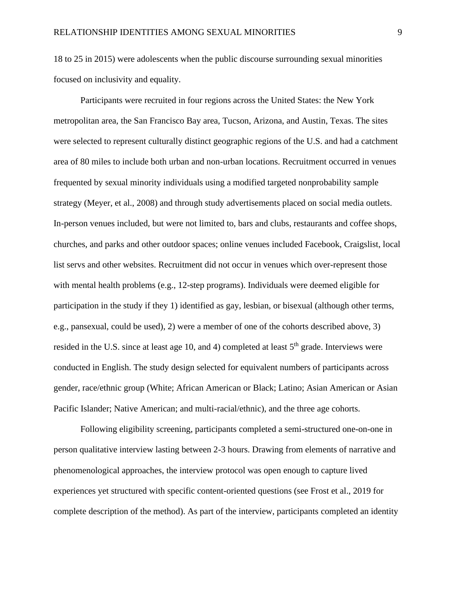18 to 25 in 2015) were adolescents when the public discourse surrounding sexual minorities focused on inclusivity and equality.

Participants were recruited in four regions across the United States: the New York metropolitan area, the San Francisco Bay area, Tucson, Arizona, and Austin, Texas. The sites were selected to represent culturally distinct geographic regions of the U.S. and had a catchment area of 80 miles to include both urban and non-urban locations. Recruitment occurred in venues frequented by sexual minority individuals using a modified targeted nonprobability sample strategy (Meyer, et al., 2008) and through study advertisements placed on social media outlets. In-person venues included, but were not limited to, bars and clubs, restaurants and coffee shops, churches, and parks and other outdoor spaces; online venues included Facebook, Craigslist, local list servs and other websites. Recruitment did not occur in venues which over-represent those with mental health problems (e.g., 12-step programs). Individuals were deemed eligible for participation in the study if they 1) identified as gay, lesbian, or bisexual (although other terms, e.g., pansexual, could be used), 2) were a member of one of the cohorts described above, 3) resided in the U.S. since at least age 10, and 4) completed at least  $5<sup>th</sup>$  grade. Interviews were conducted in English. The study design selected for equivalent numbers of participants across gender, race/ethnic group (White; African American or Black; Latino; Asian American or Asian Pacific Islander; Native American; and multi-racial/ethnic), and the three age cohorts.

Following eligibility screening, participants completed a semi-structured one-on-one in person qualitative interview lasting between 2-3 hours. Drawing from elements of narrative and phenomenological approaches, the interview protocol was open enough to capture lived experiences yet structured with specific content-oriented questions (see Frost et al., 2019 for complete description of the method). As part of the interview, participants completed an identity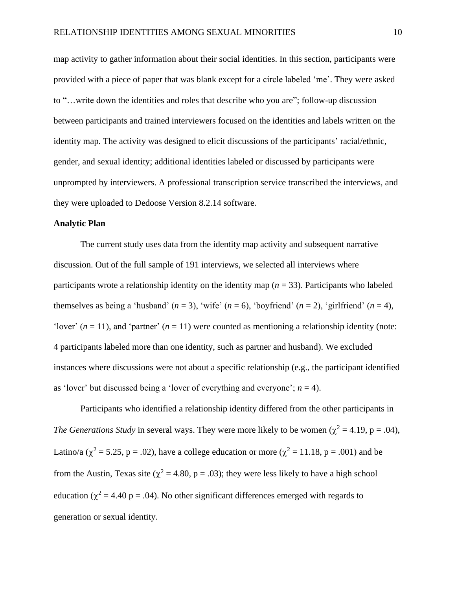map activity to gather information about their social identities. In this section, participants were provided with a piece of paper that was blank except for a circle labeled 'me'. They were asked to "…write down the identities and roles that describe who you are"; follow-up discussion between participants and trained interviewers focused on the identities and labels written on the identity map. The activity was designed to elicit discussions of the participants' racial/ethnic, gender, and sexual identity; additional identities labeled or discussed by participants were unprompted by interviewers. A professional transcription service transcribed the interviews, and they were uploaded to Dedoose Version 8.2.14 software.

# **Analytic Plan**

The current study uses data from the identity map activity and subsequent narrative discussion. Out of the full sample of 191 interviews, we selected all interviews where participants wrote a relationship identity on the identity map (*n* = 33). Participants who labeled themselves as being a 'husband'  $(n = 3)$ , 'wife'  $(n = 6)$ , 'boyfriend'  $(n = 2)$ , 'girlfriend'  $(n = 4)$ , 'lover'  $(n = 11)$ , and 'partner'  $(n = 11)$  were counted as mentioning a relationship identity (note: 4 participants labeled more than one identity, such as partner and husband). We excluded instances where discussions were not about a specific relationship (e.g., the participant identified as 'lover' but discussed being a 'lover of everything and everyone';  $n = 4$ ).

Participants who identified a relationship identity differed from the other participants in *The Generations Study* in several ways. They were more likely to be women ( $\chi^2 = 4.19$ , p = .04), Latino/a ( $\chi^2$  = 5.25, p = .02), have a college education or more ( $\chi^2$  = 11.18, p = .001) and be from the Austin, Texas site ( $\chi^2$  = 4.80, p = .03); they were less likely to have a high school education ( $\chi^2$  = 4.40 p = .04). No other significant differences emerged with regards to generation or sexual identity.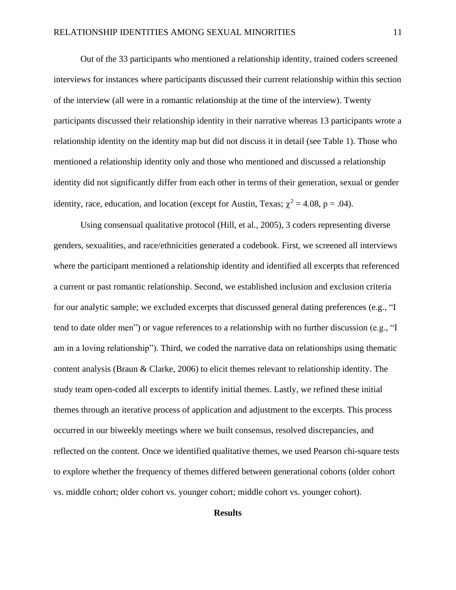Out of the 33 participants who mentioned a relationship identity, trained coders screened interviews for instances where participants discussed their current relationship within this section of the interview (all were in a romantic relationship at the time of the interview). Twenty participants discussed their relationship identity in their narrative whereas 13 participants wrote a relationship identity on the identity map but did not discuss it in detail (see Table 1). Those who mentioned a relationship identity only and those who mentioned and discussed a relationship identity did not significantly differ from each other in terms of their generation, sexual or gender identity, race, education, and location (except for Austin, Texas;  $\chi^2 = 4.08$ , p = .04).

Using consensual qualitative protocol (Hill, et al., 2005), 3 coders representing diverse genders, sexualities, and race/ethnicities generated a codebook. First, we screened all interviews where the participant mentioned a relationship identity and identified all excerpts that referenced a current or past romantic relationship. Second, we established inclusion and exclusion criteria for our analytic sample; we excluded excerpts that discussed general dating preferences (e.g., "I tend to date older men") or vague references to a relationship with no further discussion (e.g., "I am in a loving relationship"). Third, we coded the narrative data on relationships using thematic content analysis (Braun & Clarke, 2006) to elicit themes relevant to relationship identity. The study team open-coded all excerpts to identify initial themes. Lastly, we refined these initial themes through an iterative process of application and adjustment to the excerpts. This process occurred in our biweekly meetings where we built consensus, resolved discrepancies, and reflected on the content. Once we identified qualitative themes, we used Pearson chi-square tests to explore whether the frequency of themes differed between generational cohorts (older cohort vs. middle cohort; older cohort vs. younger cohort; middle cohort vs. younger cohort).

# **Results**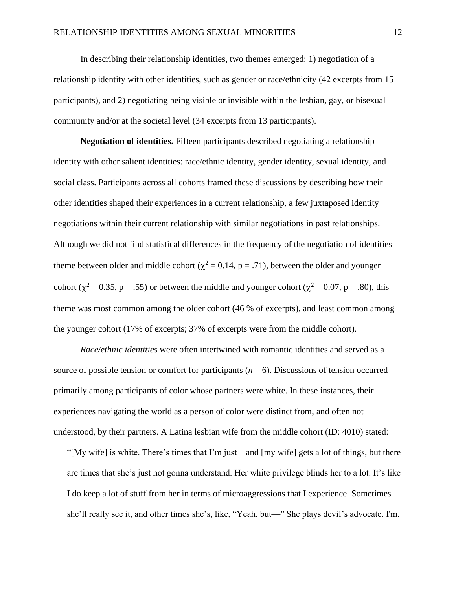In describing their relationship identities, two themes emerged: 1) negotiation of a relationship identity with other identities, such as gender or race/ethnicity (42 excerpts from 15 participants), and 2) negotiating being visible or invisible within the lesbian, gay, or bisexual community and/or at the societal level (34 excerpts from 13 participants).

**Negotiation of identities.** Fifteen participants described negotiating a relationship identity with other salient identities: race/ethnic identity, gender identity, sexual identity, and social class. Participants across all cohorts framed these discussions by describing how their other identities shaped their experiences in a current relationship, a few juxtaposed identity negotiations within their current relationship with similar negotiations in past relationships. Although we did not find statistical differences in the frequency of the negotiation of identities theme between older and middle cohort ( $\chi^2$  = 0.14, p = .71), between the older and younger cohort ( $\chi^2$  = 0.35, p = .55) or between the middle and younger cohort ( $\chi^2$  = 0.07, p = .80), this theme was most common among the older cohort (46 % of excerpts), and least common among the younger cohort (17% of excerpts; 37% of excerpts were from the middle cohort).

*Race/ethnic identities* were often intertwined with romantic identities and served as a source of possible tension or comfort for participants  $(n = 6)$ . Discussions of tension occurred primarily among participants of color whose partners were white. In these instances, their experiences navigating the world as a person of color were distinct from, and often not understood, by their partners. A Latina lesbian wife from the middle cohort (ID: 4010) stated:

"[My wife] is white. There's times that I'm just—and [my wife] gets a lot of things, but there are times that she's just not gonna understand. Her white privilege blinds her to a lot. It's like I do keep a lot of stuff from her in terms of microaggressions that I experience. Sometimes she'll really see it, and other times she's, like, "Yeah, but—" She plays devil's advocate. I'm,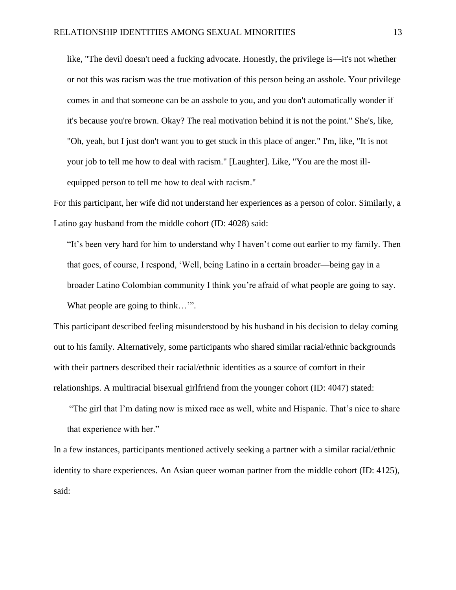like, "The devil doesn't need a fucking advocate. Honestly, the privilege is—it's not whether or not this was racism was the true motivation of this person being an asshole. Your privilege comes in and that someone can be an asshole to you, and you don't automatically wonder if it's because you're brown. Okay? The real motivation behind it is not the point." She's, like, "Oh, yeah, but I just don't want you to get stuck in this place of anger." I'm, like, "It is not your job to tell me how to deal with racism." [Laughter]. Like, "You are the most illequipped person to tell me how to deal with racism."

For this participant, her wife did not understand her experiences as a person of color. Similarly, a Latino gay husband from the middle cohort (ID: 4028) said:

"It's been very hard for him to understand why I haven't come out earlier to my family. Then that goes, of course, I respond, 'Well, being Latino in a certain broader—being gay in a broader Latino Colombian community I think you're afraid of what people are going to say. What people are going to think...".

This participant described feeling misunderstood by his husband in his decision to delay coming out to his family. Alternatively, some participants who shared similar racial/ethnic backgrounds with their partners described their racial/ethnic identities as a source of comfort in their relationships. A multiracial bisexual girlfriend from the younger cohort (ID: 4047) stated:

"The girl that I'm dating now is mixed race as well, white and Hispanic. That's nice to share that experience with her."

In a few instances, participants mentioned actively seeking a partner with a similar racial/ethnic identity to share experiences. An Asian queer woman partner from the middle cohort (ID: 4125), said: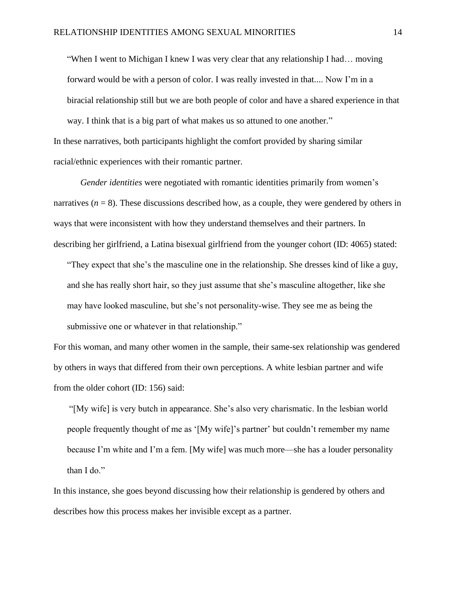"When I went to Michigan I knew I was very clear that any relationship I had… moving forward would be with a person of color. I was really invested in that.... Now I'm in a biracial relationship still but we are both people of color and have a shared experience in that way. I think that is a big part of what makes us so attuned to one another." In these narratives, both participants highlight the comfort provided by sharing similar racial/ethnic experiences with their romantic partner.

*Gender identities* were negotiated with romantic identities primarily from women's narratives  $(n = 8)$ . These discussions described how, as a couple, they were gendered by others in ways that were inconsistent with how they understand themselves and their partners. In describing her girlfriend, a Latina bisexual girlfriend from the younger cohort (ID: 4065) stated:

"They expect that she's the masculine one in the relationship. She dresses kind of like a guy, and she has really short hair, so they just assume that she's masculine altogether, like she may have looked masculine, but she's not personality-wise. They see me as being the submissive one or whatever in that relationship."

For this woman, and many other women in the sample, their same-sex relationship was gendered by others in ways that differed from their own perceptions. A white lesbian partner and wife from the older cohort (ID: 156) said:

"[My wife] is very butch in appearance. She's also very charismatic. In the lesbian world people frequently thought of me as '[My wife]'s partner' but couldn't remember my name because I'm white and I'm a fem. [My wife] was much more—she has a louder personality than I do."

In this instance, she goes beyond discussing how their relationship is gendered by others and describes how this process makes her invisible except as a partner.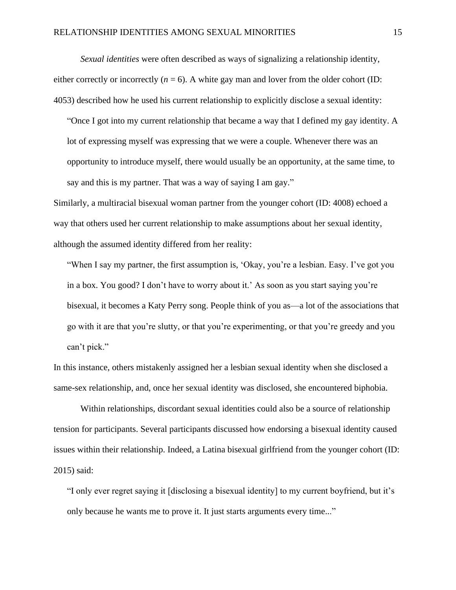*Sexual identities* were often described as ways of signalizing a relationship identity, either correctly or incorrectly  $(n = 6)$ . A white gay man and lover from the older cohort (ID: 4053) described how he used his current relationship to explicitly disclose a sexual identity:

"Once I got into my current relationship that became a way that I defined my gay identity. A lot of expressing myself was expressing that we were a couple. Whenever there was an opportunity to introduce myself, there would usually be an opportunity, at the same time, to say and this is my partner. That was a way of saying I am gay."

Similarly, a multiracial bisexual woman partner from the younger cohort (ID: 4008) echoed a way that others used her current relationship to make assumptions about her sexual identity, although the assumed identity differed from her reality:

"When I say my partner, the first assumption is, 'Okay, you're a lesbian. Easy. I've got you in a box. You good? I don't have to worry about it.' As soon as you start saying you're bisexual, it becomes a Katy Perry song. People think of you as—a lot of the associations that go with it are that you're slutty, or that you're experimenting, or that you're greedy and you can't pick."

In this instance, others mistakenly assigned her a lesbian sexual identity when she disclosed a same-sex relationship, and, once her sexual identity was disclosed, she encountered biphobia.

Within relationships, discordant sexual identities could also be a source of relationship tension for participants. Several participants discussed how endorsing a bisexual identity caused issues within their relationship. Indeed, a Latina bisexual girlfriend from the younger cohort (ID: 2015) said:

"I only ever regret saying it [disclosing a bisexual identity] to my current boyfriend, but it's only because he wants me to prove it. It just starts arguments every time..."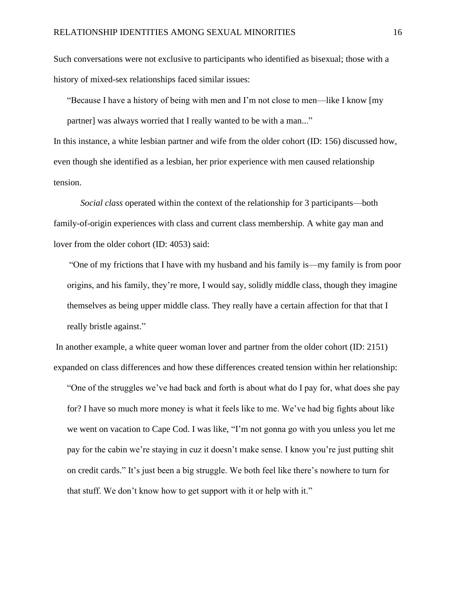Such conversations were not exclusive to participants who identified as bisexual; those with a history of mixed-sex relationships faced similar issues:

"Because I have a history of being with men and I'm not close to men—like I know [my partner] was always worried that I really wanted to be with a man..."

In this instance, a white lesbian partner and wife from the older cohort (ID: 156) discussed how, even though she identified as a lesbian, her prior experience with men caused relationship tension.

*Social class* operated within the context of the relationship for 3 participants—both family-of-origin experiences with class and current class membership. A white gay man and lover from the older cohort (ID: 4053) said:

"One of my frictions that I have with my husband and his family is—my family is from poor origins, and his family, they're more, I would say, solidly middle class, though they imagine themselves as being upper middle class. They really have a certain affection for that that I really bristle against."

In another example, a white queer woman lover and partner from the older cohort (ID: 2151) expanded on class differences and how these differences created tension within her relationship:

"One of the struggles we've had back and forth is about what do I pay for, what does she pay for? I have so much more money is what it feels like to me. We've had big fights about like we went on vacation to Cape Cod. I was like, "I'm not gonna go with you unless you let me pay for the cabin we're staying in cuz it doesn't make sense. I know you're just putting shit on credit cards." It's just been a big struggle. We both feel like there's nowhere to turn for that stuff. We don't know how to get support with it or help with it."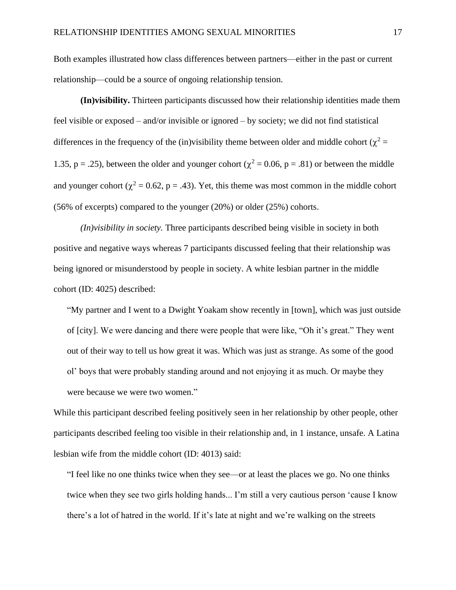Both examples illustrated how class differences between partners—either in the past or current relationship—could be a source of ongoing relationship tension.

**(In)visibility.** Thirteen participants discussed how their relationship identities made them feel visible or exposed – and/or invisible or ignored – by society; we did not find statistical differences in the frequency of the (in)visibility theme between older and middle cohort ( $\chi^2$  = 1.35, p = .25), between the older and younger cohort ( $\chi^2$  = 0.06, p = .81) or between the middle and younger cohort ( $\chi^2 = 0.62$ , p = .43). Yet, this theme was most common in the middle cohort (56% of excerpts) compared to the younger (20%) or older (25%) cohorts.

*(In)visibility in society.* Three participants described being visible in society in both positive and negative ways whereas 7 participants discussed feeling that their relationship was being ignored or misunderstood by people in society. A white lesbian partner in the middle cohort (ID: 4025) described:

"My partner and I went to a Dwight Yoakam show recently in [town], which was just outside of [city]. We were dancing and there were people that were like, "Oh it's great." They went out of their way to tell us how great it was. Which was just as strange. As some of the good ol' boys that were probably standing around and not enjoying it as much. Or maybe they were because we were two women."

While this participant described feeling positively seen in her relationship by other people, other participants described feeling too visible in their relationship and, in 1 instance, unsafe. A Latina lesbian wife from the middle cohort (ID: 4013) said:

"I feel like no one thinks twice when they see—or at least the places we go. No one thinks twice when they see two girls holding hands... I'm still a very cautious person 'cause I know there's a lot of hatred in the world. If it's late at night and we're walking on the streets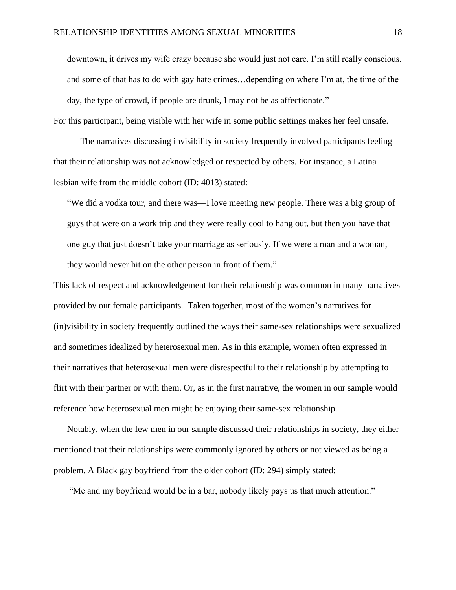downtown, it drives my wife crazy because she would just not care. I'm still really conscious, and some of that has to do with gay hate crimes…depending on where I'm at, the time of the day, the type of crowd, if people are drunk, I may not be as affectionate."

For this participant, being visible with her wife in some public settings makes her feel unsafe.

The narratives discussing invisibility in society frequently involved participants feeling that their relationship was not acknowledged or respected by others. For instance, a Latina lesbian wife from the middle cohort (ID: 4013) stated:

"We did a vodka tour, and there was—I love meeting new people. There was a big group of guys that were on a work trip and they were really cool to hang out, but then you have that one guy that just doesn't take your marriage as seriously. If we were a man and a woman, they would never hit on the other person in front of them."

This lack of respect and acknowledgement for their relationship was common in many narratives provided by our female participants. Taken together, most of the women's narratives for (in)visibility in society frequently outlined the ways their same-sex relationships were sexualized and sometimes idealized by heterosexual men. As in this example, women often expressed in their narratives that heterosexual men were disrespectful to their relationship by attempting to flirt with their partner or with them. Or, as in the first narrative, the women in our sample would reference how heterosexual men might be enjoying their same-sex relationship.

Notably, when the few men in our sample discussed their relationships in society, they either mentioned that their relationships were commonly ignored by others or not viewed as being a problem. A Black gay boyfriend from the older cohort (ID: 294) simply stated:

"Me and my boyfriend would be in a bar, nobody likely pays us that much attention."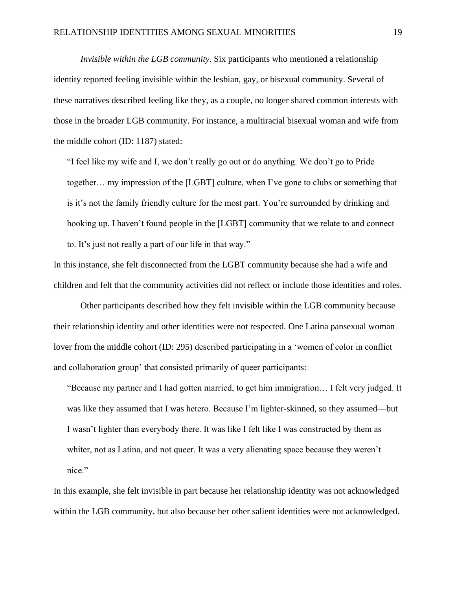*Invisible within the LGB community.* Six participants who mentioned a relationship identity reported feeling invisible within the lesbian, gay, or bisexual community. Several of these narratives described feeling like they, as a couple, no longer shared common interests with those in the broader LGB community. For instance, a multiracial bisexual woman and wife from the middle cohort (ID: 1187) stated:

"I feel like my wife and I, we don't really go out or do anything. We don't go to Pride together… my impression of the [LGBT] culture, when I've gone to clubs or something that is it's not the family friendly culture for the most part. You're surrounded by drinking and hooking up. I haven't found people in the [LGBT] community that we relate to and connect to. It's just not really a part of our life in that way."

In this instance, she felt disconnected from the LGBT community because she had a wife and children and felt that the community activities did not reflect or include those identities and roles.

Other participants described how they felt invisible within the LGB community because their relationship identity and other identities were not respected. One Latina pansexual woman lover from the middle cohort (ID: 295) described participating in a 'women of color in conflict and collaboration group' that consisted primarily of queer participants:

"Because my partner and I had gotten married, to get him immigration… I felt very judged. It was like they assumed that I was hetero. Because I'm lighter-skinned, so they assumed—but I wasn't lighter than everybody there. It was like I felt like I was constructed by them as whiter, not as Latina, and not queer. It was a very alienating space because they weren't nice."

In this example, she felt invisible in part because her relationship identity was not acknowledged within the LGB community, but also because her other salient identities were not acknowledged.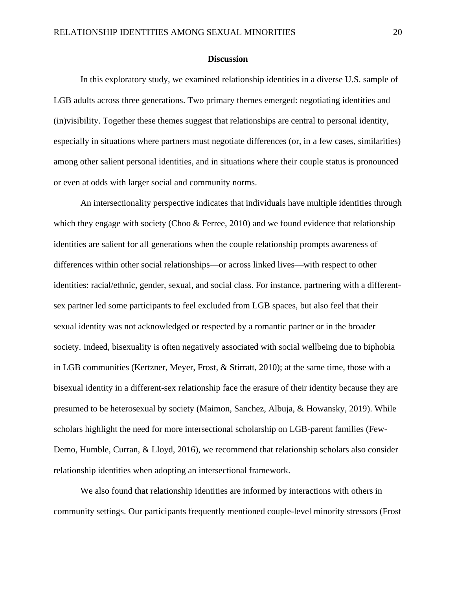## **Discussion**

In this exploratory study, we examined relationship identities in a diverse U.S. sample of LGB adults across three generations. Two primary themes emerged: negotiating identities and (in)visibility. Together these themes suggest that relationships are central to personal identity, especially in situations where partners must negotiate differences (or, in a few cases, similarities) among other salient personal identities, and in situations where their couple status is pronounced or even at odds with larger social and community norms.

An intersectionality perspective indicates that individuals have multiple identities through which they engage with society (Choo & Ferree, 2010) and we found evidence that relationship identities are salient for all generations when the couple relationship prompts awareness of differences within other social relationships—or across linked lives—with respect to other identities: racial/ethnic, gender, sexual, and social class. For instance, partnering with a differentsex partner led some participants to feel excluded from LGB spaces, but also feel that their sexual identity was not acknowledged or respected by a romantic partner or in the broader society. Indeed, bisexuality is often negatively associated with social wellbeing due to biphobia in LGB communities (Kertzner, Meyer, Frost, & Stirratt, 2010); at the same time, those with a bisexual identity in a different-sex relationship face the erasure of their identity because they are presumed to be heterosexual by society (Maimon, Sanchez, Albuja, & Howansky, 2019). While scholars highlight the need for more intersectional scholarship on LGB-parent families (Few-Demo, Humble, Curran, & Lloyd, 2016), we recommend that relationship scholars also consider relationship identities when adopting an intersectional framework.

We also found that relationship identities are informed by interactions with others in community settings. Our participants frequently mentioned couple-level minority stressors (Frost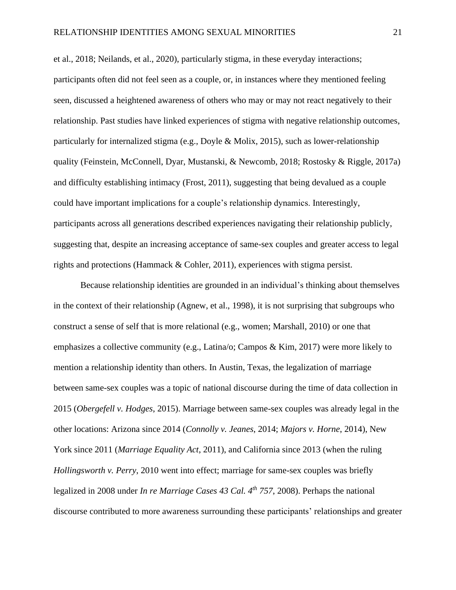et al., 2018; Neilands, et al., 2020), particularly stigma, in these everyday interactions; participants often did not feel seen as a couple, or, in instances where they mentioned feeling seen, discussed a heightened awareness of others who may or may not react negatively to their relationship. Past studies have linked experiences of stigma with negative relationship outcomes, particularly for internalized stigma (e.g., Doyle & Molix, 2015), such as lower-relationship quality (Feinstein, McConnell, Dyar, Mustanski, & Newcomb, 2018; Rostosky & Riggle, 2017a) and difficulty establishing intimacy (Frost, 2011), suggesting that being devalued as a couple could have important implications for a couple's relationship dynamics. Interestingly, participants across all generations described experiences navigating their relationship publicly, suggesting that, despite an increasing acceptance of same-sex couples and greater access to legal rights and protections (Hammack & Cohler, 2011), experiences with stigma persist.

Because relationship identities are grounded in an individual's thinking about themselves in the context of their relationship (Agnew, et al., 1998), it is not surprising that subgroups who construct a sense of self that is more relational (e.g., women; Marshall, 2010) or one that emphasizes a collective community (e.g., Latina/o; Campos & Kim, 2017) were more likely to mention a relationship identity than others. In Austin, Texas, the legalization of marriage between same-sex couples was a topic of national discourse during the time of data collection in 2015 (*Obergefell v. Hodges*, 2015). Marriage between same-sex couples was already legal in the other locations: Arizona since 2014 (*Connolly v. Jeanes*, 2014; *Majors v. Horne*, 2014), New York since 2011 (*Marriage Equality Act*, 2011), and California since 2013 (when the ruling *Hollingsworth v. Perry*, 2010 went into effect; marriage for same-sex couples was briefly legalized in 2008 under *In re Marriage Cases 43 Cal. 4th 757*, 2008). Perhaps the national discourse contributed to more awareness surrounding these participants' relationships and greater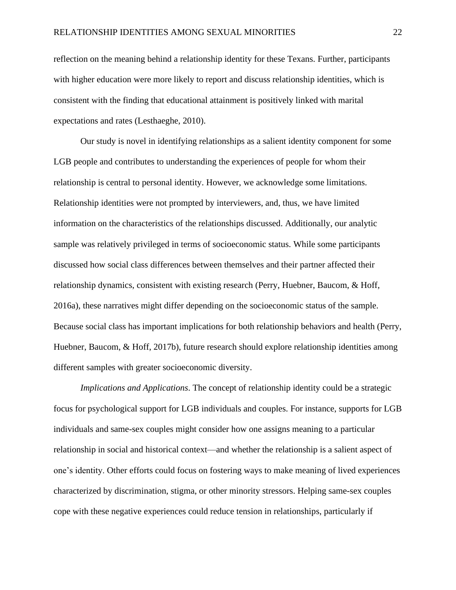reflection on the meaning behind a relationship identity for these Texans. Further, participants with higher education were more likely to report and discuss relationship identities, which is consistent with the finding that educational attainment is positively linked with marital expectations and rates (Lesthaeghe, 2010).

Our study is novel in identifying relationships as a salient identity component for some LGB people and contributes to understanding the experiences of people for whom their relationship is central to personal identity. However, we acknowledge some limitations. Relationship identities were not prompted by interviewers, and, thus, we have limited information on the characteristics of the relationships discussed. Additionally, our analytic sample was relatively privileged in terms of socioeconomic status. While some participants discussed how social class differences between themselves and their partner affected their relationship dynamics, consistent with existing research (Perry, Huebner, Baucom, & Hoff, 2016a), these narratives might differ depending on the socioeconomic status of the sample. Because social class has important implications for both relationship behaviors and health (Perry, Huebner, Baucom, & Hoff, 2017b), future research should explore relationship identities among different samples with greater socioeconomic diversity.

*Implications and Applications*. The concept of relationship identity could be a strategic focus for psychological support for LGB individuals and couples. For instance, supports for LGB individuals and same-sex couples might consider how one assigns meaning to a particular relationship in social and historical context—and whether the relationship is a salient aspect of one's identity. Other efforts could focus on fostering ways to make meaning of lived experiences characterized by discrimination, stigma, or other minority stressors. Helping same-sex couples cope with these negative experiences could reduce tension in relationships, particularly if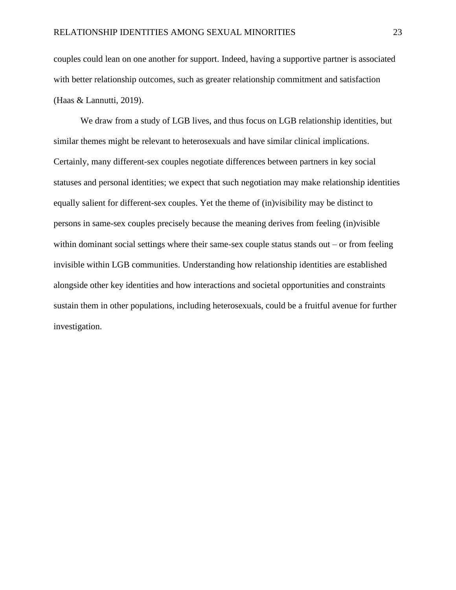couples could lean on one another for support. Indeed, having a supportive partner is associated with better relationship outcomes, such as greater relationship commitment and satisfaction (Haas & Lannutti, 2019).

We draw from a study of LGB lives, and thus focus on LGB relationship identities, but similar themes might be relevant to heterosexuals and have similar clinical implications. Certainly, many different-sex couples negotiate differences between partners in key social statuses and personal identities; we expect that such negotiation may make relationship identities equally salient for different-sex couples. Yet the theme of (in)visibility may be distinct to persons in same-sex couples precisely because the meaning derives from feeling (in)visible within dominant social settings where their same-sex couple status stands out – or from feeling invisible within LGB communities. Understanding how relationship identities are established alongside other key identities and how interactions and societal opportunities and constraints sustain them in other populations, including heterosexuals, could be a fruitful avenue for further investigation.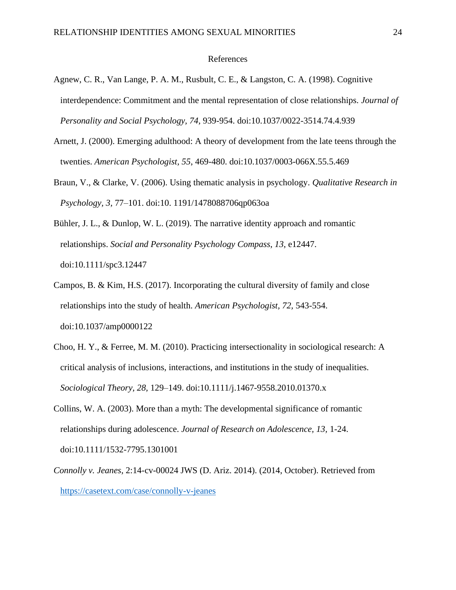# References

- Agnew, C. R., Van Lange, P. A. M., Rusbult, C. E., & Langston, C. A. (1998). Cognitive interdependence: Commitment and the mental representation of close relationships. *Journal of Personality and Social Psychology, 74,* 939-954. doi:10.1037/0022-3514.74.4.939
- Arnett, J. (2000). Emerging adulthood: A theory of development from the late teens through the twenties. *American Psychologist, 55*, 469-480. doi:10.1037/0003-066X.55.5.469
- Braun, V., & Clarke, V. (2006). Using thematic analysis in psychology. *Qualitative Research in Psychology, 3,* 77–101. doi:10. 1191/1478088706qp063oa
- Bühler, J. L., & Dunlop, W. L. (2019). The narrative identity approach and romantic relationships. *Social and Personality Psychology Compass*, *13*, e12447. doi:10.1111/spc3.12447
- Campos, B. & Kim, H.S. (2017). Incorporating the cultural diversity of family and close relationships into the study of health. *American Psychologist, 72,* 543-554. doi:10.1037/amp0000122
- Choo, H. Y., & Ferree, M. M. (2010). Practicing intersectionality in sociological research: A critical analysis of inclusions, interactions, and institutions in the study of inequalities. *Sociological Theory, 28,* 129–149. doi:10.1111/j.1467-9558.2010.01370.x
- Collins, W. A. (2003). More than a myth: The developmental significance of romantic relationships during adolescence. *Journal of Research on Adolescence, 13,* 1-24. doi:10.1111/1532-7795.1301001
- *Connolly v. Jeanes*, 2:14-cv-00024 JWS (D. Ariz. 2014). (2014, October). Retrieved from <https://casetext.com/case/connolly-v-jeanes>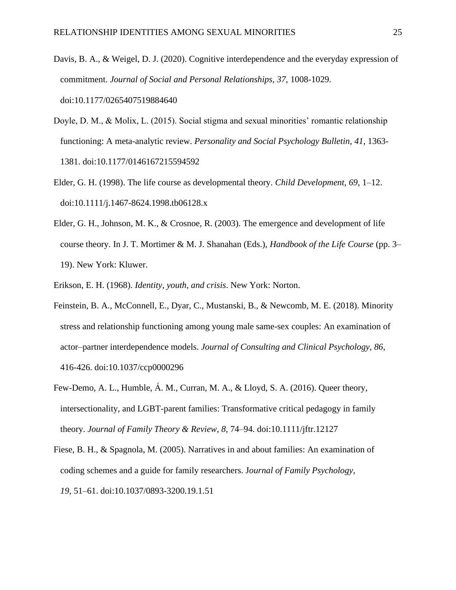- Davis, B. A., & Weigel, D. J. (2020). Cognitive interdependence and the everyday expression of commitment. *Journal of Social and Personal Relationships, 37,* 1008-1029. doi:10.1177/0265407519884640
- Doyle, D. M., & Molix, L. (2015). Social stigma and sexual minorities' romantic relationship functioning: A meta-analytic review. *Personality and Social Psychology Bulletin*, *41*, 1363- 1381. doi:10.1177/0146167215594592
- Elder, G. H. (1998). The life course as developmental theory. *Child Development, 69,* 1–12. doi:10.1111/j.1467-8624.1998.tb06128.x
- Elder, G. H., Johnson, M. K., & Crosnoe, R. (2003). The emergence and development of life course theory. In J. T. Mortimer & M. J. Shanahan (Eds.), *Handbook of the Life Course* (pp. 3– 19). New York: Kluwer.
- Erikson, E. H. (1968). *Identity, youth, and crisis*. New York: Norton.
- Feinstein, B. A., McConnell, E., Dyar, C., Mustanski, B., & Newcomb, M. E. (2018). Minority stress and relationship functioning among young male same-sex couples: An examination of actor–partner interdependence models. *Journal of Consulting and Clinical Psychology*, *86*, 416-426. doi:10.1037/ccp0000296
- Few-Demo, A. L., Humble, Á. M., Curran, M. A., & Lloyd, S. A. (2016). Queer theory, intersectionality, and LGBT-parent families: Transformative critical pedagogy in family theory. *Journal of Family Theory & Review, 8,* 74–94. doi:10.1111/jftr.12127
- Fiese, B. H., & Spagnola, M. (2005). Narratives in and about families: An examination of coding schemes and a guide for family researchers. J*ournal of Family Psychology, 19*, 51–61. doi:10.1037/0893-3200.19.1.51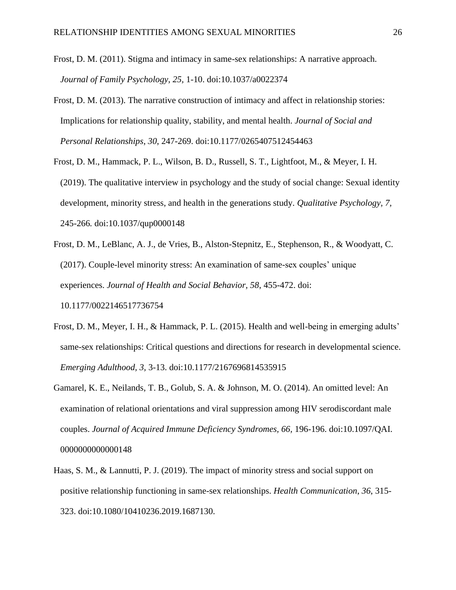- Frost, D. M. (2011). Stigma and intimacy in same-sex relationships: A narrative approach. *Journal of Family Psychology, 25,* 1-10. doi:10.1037/a0022374
- Frost, D. M. (2013). The narrative construction of intimacy and affect in relationship stories: Implications for relationship quality, stability, and mental health. *Journal of Social and Personal Relationships*, *30*, 247-269. doi:10.1177/0265407512454463
- Frost, D. M., Hammack, P. L., Wilson, B. D., Russell, S. T., Lightfoot, M., & Meyer, I. H. (2019). The qualitative interview in psychology and the study of social change: Sexual identity development, minority stress, and health in the generations study. *Qualitative Psychology, 7,*  245-266*.* doi:10.1037/qup0000148
- Frost, D. M., LeBlanc, A. J., de Vries, B., Alston-Stepnitz, E., Stephenson, R., & Woodyatt, C. (2017). Couple-level minority stress: An examination of same-sex couples' unique experiences. *Journal of Health and Social Behavior, 58*, 455-472. doi:

10.1177/0022146517736754

- Frost, D. M., Meyer, I. H., & Hammack, P. L. (2015). Health and well-being in emerging adults' same-sex relationships: Critical questions and directions for research in developmental science. *Emerging Adulthood, 3,* 3-13. doi:10.1177/2167696814535915
- Gamarel, K. E., Neilands, T. B., Golub, S. A. & Johnson, M. O. (2014). An omitted level: An examination of relational orientations and viral suppression among HIV serodiscordant male couples. *Journal of Acquired Immune Deficiency Syndromes, 66,* 196-196. doi:10.1097/QAI. 0000000000000148
- Haas, S. M., & Lannutti, P. J. (2019). The impact of minority stress and social support on positive relationship functioning in same-sex relationships. *Health Communication*, *36*, 315- 323. doi:10.1080/10410236.2019.1687130.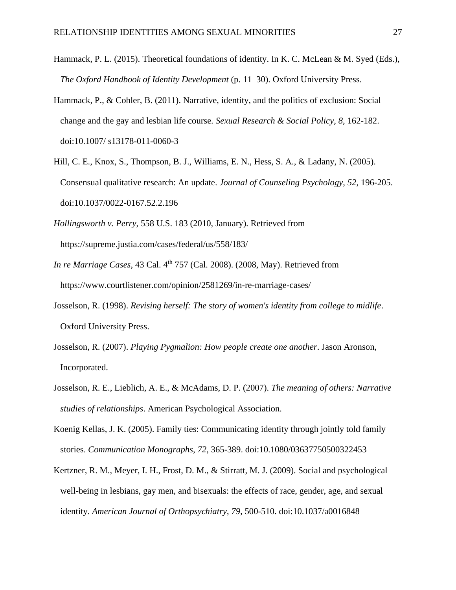- Hammack, P. L. (2015). Theoretical foundations of identity. In K. C. McLean & M. Syed (Eds.), *The Oxford Handbook of Identity Development* (p. 11–30). Oxford University Press.
- Hammack, P., & Cohler, B. (2011). Narrative, identity, and the politics of exclusion: Social change and the gay and lesbian life course*. Sexual Research & Social Policy, 8,* 162-182. doi:10.1007/ s13178-011-0060-3
- Hill, C. E., Knox, S., Thompson, B. J., Williams, E. N., Hess, S. A., & Ladany, N. (2005). Consensual qualitative research: An update. *Journal of Counseling Psychology*, *52*, 196-205. doi:10.1037/0022-0167.52.2.196
- *Hollingsworth v. Perry*, 558 U.S. 183 (2010, January). Retrieved from https://supreme.justia.com/cases/federal/us/558/183/
- *In re Marriage Cases*, 43 Cal. 4<sup>th</sup> 757 (Cal. 2008). (2008, May). Retrieved from https://www.courtlistener.com/opinion/2581269/in-re-marriage-cases/
- Josselson, R. (1998). *Revising herself: The story of women's identity from college to midlife*. Oxford University Press.
- Josselson, R. (2007). *Playing Pygmalion: How people create one another*. Jason Aronson, Incorporated.
- Josselson, R. E., Lieblich, A. E., & McAdams, D. P. (2007). *The meaning of others: Narrative studies of relationships*. American Psychological Association.
- Koenig Kellas, J. K. (2005). Family ties: Communicating identity through jointly told family stories. *Communication Monographs*, *72*, 365-389. doi:10.1080/03637750500322453
- Kertzner, R. M., Meyer, I. H., Frost, D. M., & Stirratt, M. J. (2009). Social and psychological well-being in lesbians, gay men, and bisexuals: the effects of race, gender, age, and sexual identity. *American Journal of Orthopsychiatry*, *79*, 500-510. doi:10.1037/a0016848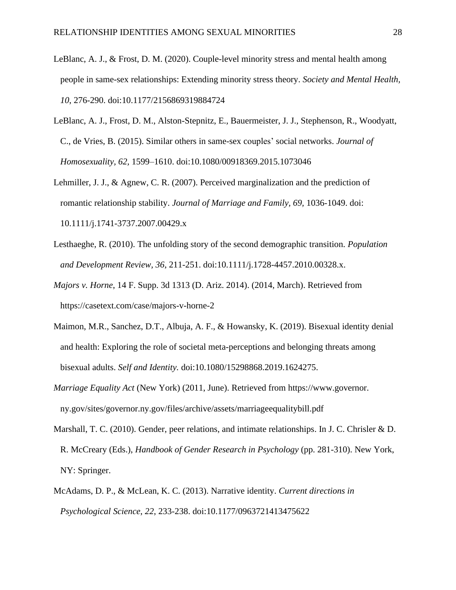- LeBlanc, A. J., & Frost, D. M. (2020). Couple-level minority stress and mental health among people in same-sex relationships: Extending minority stress theory. *Society and Mental Health, 10*, 276-290. doi:10.1177/2156869319884724
- LeBlanc, A. J., Frost, D. M., Alston-Stepnitz, E., Bauermeister, J. J., Stephenson, R., Woodyatt, C., de Vries, B. (2015). Similar others in same-sex couples' social networks. *Journal of Homosexuality, 62,* 1599–1610. doi:10.1080/00918369.2015.1073046
- Lehmiller, J. J., & Agnew, C. R. (2007). Perceived marginalization and the prediction of romantic relationship stability. *Journal of Marriage and Family, 69,* 1036-1049. doi: 10.1111/j.1741-3737.2007.00429.x
- Lesthaeghe, R. (2010). The unfolding story of the second demographic transition. *Population and Development Review, 36*, 211-251. doi:10.1111/j.1728-4457.2010.00328.x.
- *Majors v. Horne*, 14 F. Supp. 3d 1313 (D. Ariz. 2014). (2014, March). Retrieved from https://casetext.com/case/majors-v-horne-2
- Maimon, M.R., Sanchez, D.T., Albuja, A. F., & Howansky, K. (2019). Bisexual identity denial and health: Exploring the role of societal meta-perceptions and belonging threats among bisexual adults. *Self and Identity.* doi:10.1080/15298868.2019.1624275.
- *Marriage Equality Act* (New York) (2011, June). Retrieved from https://www.governor. ny.gov/sites/governor.ny.gov/files/archive/assets/marriageequalitybill.pdf
- Marshall, T. C. (2010). Gender, peer relations, and intimate relationships. In J. C. Chrisler & D. R. McCreary (Eds.), *Handbook of Gender Research in Psychology* (pp. 281-310). New York, NY: Springer.
- McAdams, D. P., & McLean, K. C. (2013). Narrative identity. *Current directions in Psychological Science*, *22*, 233-238. doi:10.1177/0963721413475622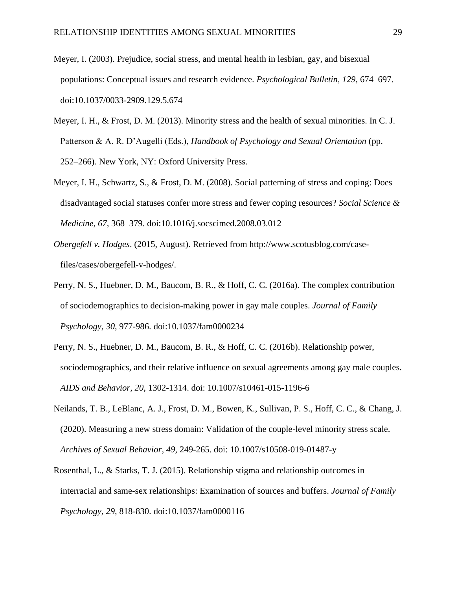- Meyer, I. (2003). Prejudice, social stress, and mental health in lesbian, gay, and bisexual populations: Conceptual issues and research evidence. *Psychological Bulletin, 129,* 674–697. doi:10.1037/0033-2909.129.5.674
- Meyer, I. H., & Frost, D. M. (2013). Minority stress and the health of sexual minorities. In C. J. Patterson & A. R. D'Augelli (Eds.), *Handbook of Psychology and Sexual Orientation* (pp. 252–266). New York, NY: Oxford University Press.
- Meyer, I. H., Schwartz, S., & Frost, D. M. (2008). Social patterning of stress and coping: Does disadvantaged social statuses confer more stress and fewer coping resources? *Social Science & Medicine, 67,* 368–379. doi:10.1016/j.socscimed.2008.03.012
- *Obergefell v. Hodges*. (2015, August). Retrieved from [http://www.scotusblog.com/case](http://www.scotusblog.com/case-files/cases/obergefell-v-hodges/)[files/cases/obergefell-v-hodges/.](http://www.scotusblog.com/case-files/cases/obergefell-v-hodges/)
- Perry, N. S., Huebner, D. M., Baucom, B. R., & Hoff, C. C. (2016a). The complex contribution of sociodemographics to decision-making power in gay male couples. *Journal of Family Psychology, 30*, 977-986. doi:10.1037/fam0000234
- Perry, N. S., Huebner, D. M., Baucom, B. R., & Hoff, C. C. (2016b). Relationship power, sociodemographics, and their relative influence on sexual agreements among gay male couples. *AIDS and Behavior, 20,* 1302-1314. doi: 10.1007/s10461-015-1196-6
- Neilands, T. B., LeBlanc, A. J., Frost, D. M., Bowen, K., Sullivan, P. S., Hoff, C. C., & Chang, J. (2020). Measuring a new stress domain: Validation of the couple-level minority stress scale. *Archives of Sexual Behavior, 49,* 249-265. doi: 10.1007/s10508-019-01487-y
- Rosenthal, L., & Starks, T. J. (2015). Relationship stigma and relationship outcomes in interracial and same-sex relationships: Examination of sources and buffers. *Journal of Family Psychology, 29,* 818-830. doi:10.1037/fam0000116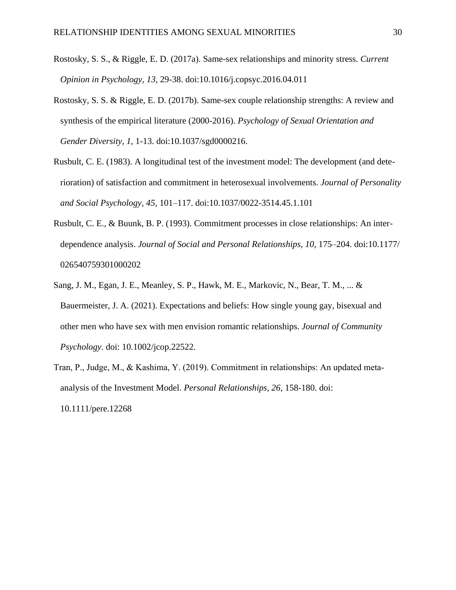- Rostosky, S. S., & Riggle, E. D. (2017a). Same-sex relationships and minority stress. *Current Opinion in Psychology, 13,* 29-38. doi:10.1016/j.copsyc.2016.04.011
- Rostosky, S. S. & Riggle, E. D. (2017b). Same-sex couple relationship strengths: A review and synthesis of the empirical literature (2000-2016). *Psychology of Sexual Orientation and Gender Diversity, 1,* 1-13. doi:10.1037/sgd0000216.
- Rusbult, C. E. (1983). A longitudinal test of the investment model: The development (and deterioration) of satisfaction and commitment in heterosexual involvements. *Journal of Personality and Social Psychology, 45,* 101–117. doi:10.1037/0022-3514.45.1.101
- Rusbult, C. E., & Buunk, B. P. (1993). Commitment processes in close relationships: An interdependence analysis. *Journal of Social and Personal Relationships, 10, 175–204. doi:10.1177/* 026540759301000202
- Sang, J. M., Egan, J. E., Meanley, S. P., Hawk, M. E., Markovic, N., Bear, T. M., ... & Bauermeister, J. A. (2021). Expectations and beliefs: How single young gay, bisexual and other men who have sex with men envision romantic relationships. *Journal of Community Psychology.* doi: 10.1002/jcop.22522.
- Tran, P., Judge, M., & Kashima, Y. (2019). Commitment in relationships: An updated meta‐ analysis of the Investment Model. *Personal Relationships, 26*, 158-180. doi:

10.1111/pere.12268